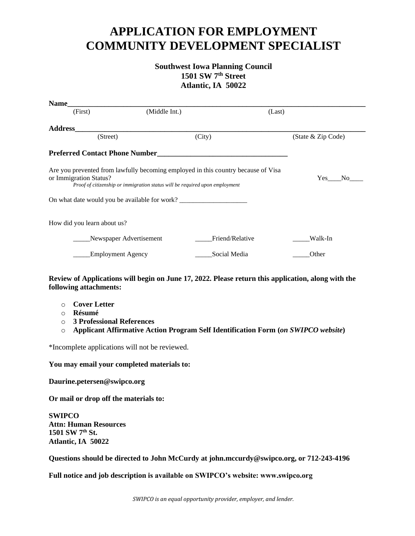# **APPLICATION FOR EMPLOYMENT COMMUNITY DEVELOPMENT SPECIALIST**

# **Southwest Iowa Planning Council 1501 SW 7th Street Atlantic, IA 50022**

| Name                                                                                                                                                                                       |                          |                 |        |                       |
|--------------------------------------------------------------------------------------------------------------------------------------------------------------------------------------------|--------------------------|-----------------|--------|-----------------------|
| (First)                                                                                                                                                                                    | (Middle Int.)            |                 | (Last) |                       |
| <b>Address</b>                                                                                                                                                                             |                          |                 |        |                       |
| (Street)                                                                                                                                                                                   |                          | (City)          |        | (State & Zip Code)    |
| <b>Preferred Contact Phone Number</b>                                                                                                                                                      |                          |                 |        |                       |
| Are you prevented from lawfully becoming employed in this country because of Visa<br>or Immigration Status?<br>Proof of citizenship or immigration status will be required upon employment |                          |                 |        | Yes<br>N <sub>o</sub> |
| On what date would you be available for work?                                                                                                                                              |                          |                 |        |                       |
| How did you learn about us?                                                                                                                                                                |                          |                 |        |                       |
|                                                                                                                                                                                            | Newspaper Advertisement  | Friend/Relative |        | Walk-In               |
|                                                                                                                                                                                            | <b>Employment Agency</b> | Social Media    |        | Other                 |

## **Review of Applications will begin on June 17, 2022. Please return this application, along with the following attachments:**

- o **Cover Letter**
- o **Résumé**
- o **3 Professional References**
- o **Applicant Affirmative Action Program Self Identification Form (***on SWIPCO website***)**

\*Incomplete applications will not be reviewed.

### **You may email your completed materials to:**

**Daurine.petersen@swipco.org**

**Or mail or drop off the materials to:**

**SWIPCO Attn: Human Resources 1501 SW 7th St. Atlantic, IA 50022**

**Questions should be directed to John McCurdy at john.mccurdy@swipco.org, or 712-243-4196**

**Full notice and job description is available on SWIPCO's website: www.swipco.org**